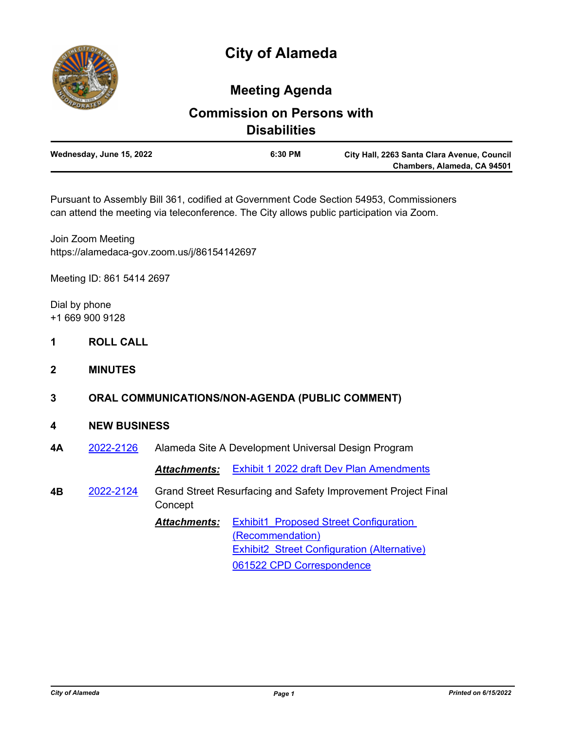

## **Meeting Agenda**

## **Commission on Persons with Disabilities**

| Wednesday, June 15, 2022 | 6:30 PM | City Hall, 2263 Santa Clara Avenue, Council |
|--------------------------|---------|---------------------------------------------|
|                          |         | Chambers, Alameda, CA 94501                 |

Pursuant to Assembly Bill 361, codified at Government Code Section 54953, Commissioners can attend the meeting via teleconference. The City allows public participation via Zoom.

Join Zoom Meeting https://alamedaca-gov.zoom.us/j/86154142697

Meeting ID: 861 5414 2697

Dial by phone +1 669 900 9128

- **1 ROLL CALL**
- **2 MINUTES**
- **3 ORAL COMMUNICATIONS/NON-AGENDA (PUBLIC COMMENT)**

## **4 NEW BUSINESS**

**4A** [2022-2126](http://alameda.legistar.com/gateway.aspx?m=l&id=/matter.aspx?key=11903) Alameda Site A Development Universal Design Program

*Attachments:* [Exhibit 1 2022 draft Dev Plan Amendments](http://alameda.legistar.com/gateway.aspx?M=F&ID=2f317c90-46ac-44d9-8a1f-e79aa79ce5e4.pdf)

**4B** [2022-2124](http://alameda.legistar.com/gateway.aspx?m=l&id=/matter.aspx?key=11901) Grand Street Resurfacing and Safety Improvement Project Final Concept

> Attachments: Exhibit1 Proposed Street Configuration (Recommendation) Exhibit2 Street Configuration (Alternative) [061522 CPD Correspondence](http://alameda.legistar.com/gateway.aspx?M=F&ID=6cc8f18c-9c61-442d-aa47-2715b8ecadfc.pdf)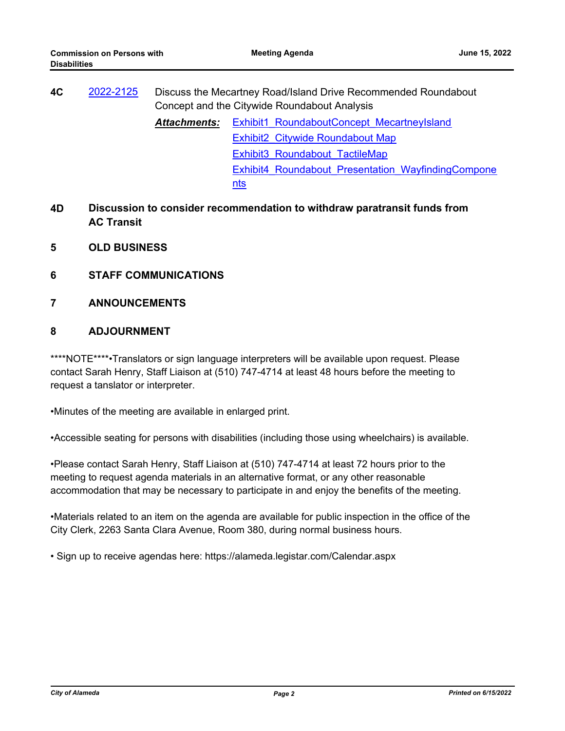| 4C | 2022-2125 | Discuss the Mecartney Road/Island Drive Recommended Roundabout<br>Concept and the Citywide Roundabout Analysis |                                                    |  |
|----|-----------|----------------------------------------------------------------------------------------------------------------|----------------------------------------------------|--|
|    |           | <b>Attachments:</b>                                                                                            | <b>Exhibit1 RoundaboutConcept MecartneyIsland</b>  |  |
|    |           |                                                                                                                | Exhibit2 Citywide Roundabout Map                   |  |
|    |           |                                                                                                                | Exhibit3 Roundabout TactileMap                     |  |
|    |           |                                                                                                                | Exhibit4 Roundabout Presentation WayfindingCompone |  |
|    |           |                                                                                                                | nts                                                |  |

- **4D Discussion to consider recommendation to withdraw paratransit funds from AC Transit**
- **5 OLD BUSINESS**
- **6 STAFF COMMUNICATIONS**
- **7 ANNOUNCEMENTS**

## **8 ADJOURNMENT**

\*\*\*\*NOTE\*\*\*\*•Translators or sign language interpreters will be available upon request. Please contact Sarah Henry, Staff Liaison at (510) 747-4714 at least 48 hours before the meeting to request a tanslator or interpreter.

•Minutes of the meeting are available in enlarged print.

•Accessible seating for persons with disabilities (including those using wheelchairs) is available.

•Please contact Sarah Henry, Staff Liaison at (510) 747-4714 at least 72 hours prior to the meeting to request agenda materials in an alternative format, or any other reasonable accommodation that may be necessary to participate in and enjoy the benefits of the meeting.

•Materials related to an item on the agenda are available for public inspection in the office of the City Clerk, 2263 Santa Clara Avenue, Room 380, during normal business hours.

• Sign up to receive agendas here: https://alameda.legistar.com/Calendar.aspx